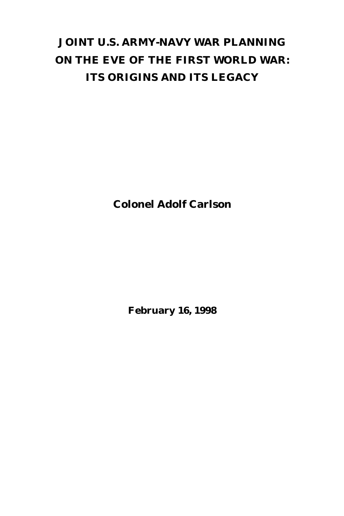# **JOINT U.S. ARMY-NAVY WAR PLANNING ON THE EVE OF THE FIRST WORLD WAR: ITS ORIGINS AND ITS LEGACY**

**Colonel Adolf Carlson**

**February 16, 1998**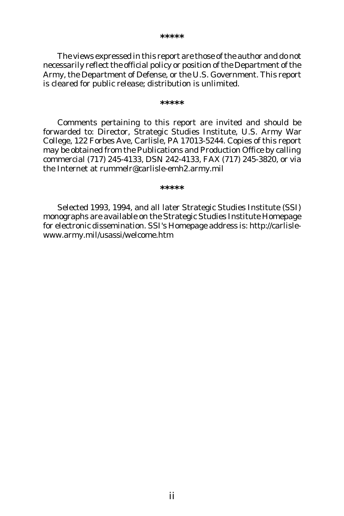The views expressed in this report are those of the author and do not necessarily reflect the official policy or position of the Department of the Army, the Department of Defense, or the U.S. Government. This report is cleared for public release; distribution is unlimited.

#### **\*\*\*\*\***

Comments pertaining to this report are invited and should be forwarded to: Director, Strategic Studies Institute, U.S. Army War College, 122 Forbes Ave, Carlisle, PA 17013-5244. Copies of this report may be obtained from the Publications and Production Office by calling commercial (717) 245-4133, DSN 242-4133, FAX (717) 245-3820, or via the Internet at rummelr@carlisle-emh2.army.mil

#### **\*\*\*\*\***

Selected 1993, 1994, and all later Strategic Studies Institute (SSI) monographs are available on the Strategic Studies Institute Homepage for electronic dissemination. SSI's Homepage address is: http://carlislewww.army.mil/usassi/welcome.htm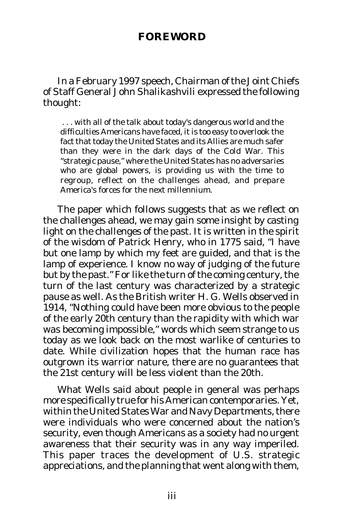# **FOREWORD**

In a February 1997 speech, Chairman of the Joint Chiefs of Staff General John Shalikashvili expressed the following thought:

 . . . with all of the talk about today's dangerous world and the difficulties Americans have faced, it is too easy to overlook the fact that today the United States and its Allies are much safer than they were in the dark days of the Cold War. This "strategic pause," where the United States has no adversaries who are global powers, is providing us with the time to regroup, reflect on the challenges ahead, and prepare America's forces for the next millennium.

The paper which follows suggests that as we reflect on the challenges ahead, we may gain some insight by casting light on the challenges of the past. It is written in the spirit of the wisdom of Patrick Henry, who in 1775 said, "I have but one lamp by which my feet are guided, and that is the lamp of experience. I know no way of judging of the future but by the past." For like the turn of the coming century, the turn of the last century was characterized by a strategic pause as well. As the British writer H. G. Wells observed in 1914, "Nothing could have been more obvious to the people of the early 20th century than the rapidity with which war was becoming impossible," words which seem strange to us today as we look back on the most warlike of centuries to date. While civilization hopes that the human race has outgrown its warrior nature, there are no guarantees that the 21st century will be less violent than the 20th.

What Wells said about people in general was perhaps more specifically true for his American contemporaries. Yet, within the United States War and Navy Departments, there were individuals who were concerned about the nation's security, even though Americans as a society had no urgent awareness that their security was in any way imperiled. This paper traces the development of U.S. strategic appreciations, and the planning that went along with them,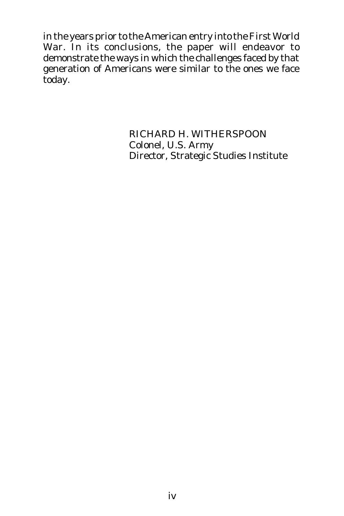in the years prior to the American entry into the First World War. In its conclusions, the paper will endeavor to demonstrate the ways in which the challenges faced by that generation of Americans were similar to the ones we face today.

> RICHARD H. WITHERSPOON Colonel, U.S. Army Director, Strategic Studies Institute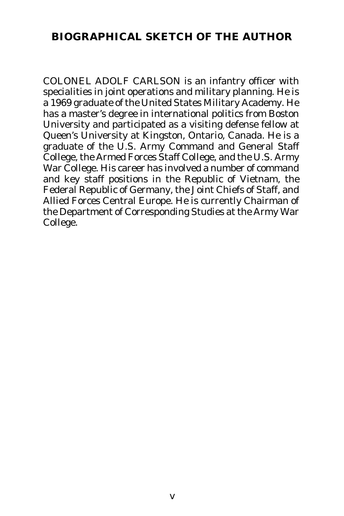# **BIOGRAPHICAL SKETCH OF THE AUTHOR**

COLONEL ADOLF CARLSON is an infantry officer with specialities in joint operations and military planning. He is a 1969 graduate of the United States Military Academy. He has a master's degree in international politics from Boston University and participated as a visiting defense fellow at Queen's University at Kingston, Ontario, Canada. He is a graduate of the U.S. Army Command and General Staff College, the Armed Forces Staff College, and the U.S. Army War College. His career has involved a number of command and key staff positions in the Republic of Vietnam, the Federal Republic of Germany, the Joint Chiefs of Staff, and Allied Forces Central Europe. He is currently Chairman of the Department of Corresponding Studies at the Army War College.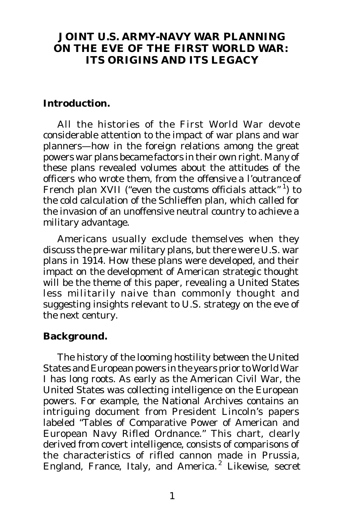### **JOINT U.S. ARMY-NAVY WAR PLANNING ON THE EVE OF THE FIRST WORLD WAR: ITS ORIGINS AND ITS LEGACY**

#### **Introduction.**

All the histories of the First World War devote considerable attention to the impact of war plans and war planners—how in the foreign relations among the great powers war plans became factors in their own right. Many of these plans revealed volumes about the attitudes of the officers who wrote them, from the *offensive a l'outrance* of French plan XVII ("even the customs officials attack" 1) to the cold calculation of the Schlieffen plan, which called for the invasion of an unoffensive neutral country to achieve a military advantage.

Americans usually exclude themselves when they discuss the pre-war military plans, but there were U.S. war plans in 1914. How these plans were developed, and their impact on the development of American strategic thought will be the theme of this paper, revealing a United States less militarily naive than commonly thought and suggesting insights relevant to U.S. strategy on the eve of the next century.

#### **Background.**

The history of the looming hostility between the United States and European powers in the years prior to World War I has long roots. As early as the American Civil War, the United States was collecting intelligence on the European powers. For example, the National Archives contains an intriguing document from President Lincoln's papers labeled "Tables of Comparative Power of American and European Navy Rifled Ordnance." This chart, clearly derived from covert intelligence, consists of comparisons of the characteristics of rifled cannon made in Prussia, England, France, Italy, and America.<sup>2</sup> Likewise, secret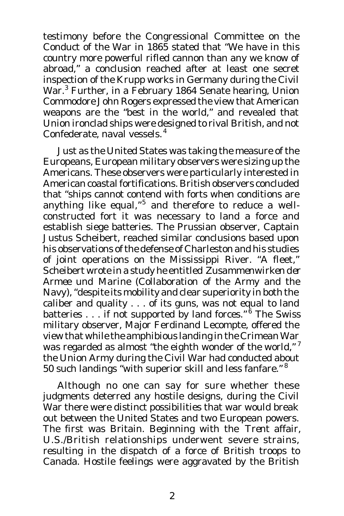testimony before the Congressional Committee on the Conduct of the War in 1865 stated that "We have in this country more powerful rifled cannon than any we know of abroad," a conclusion reached after at least one secret inspection of the Krupp works in Germany during the Civil War.<sup>3</sup> Further, in a February 1864 Senate hearing, Union Commodore John Rogers expressed the view that American weapons are the "best in the world," and revealed that Union ironclad ships were designed to rival British, and not Confederate, naval vessels. 4

Just as the United States was taking the measure of the Europeans, European military observers were sizing up the Americans. These observers were particularly interested in American coastal fortifications. British observers concluded that "ships cannot contend with forts when conditions are anything like equal,"<sup>5</sup> and therefore to reduce a wellconstructed fort it was necessary to land a force and establish siege batteries. The Prussian observer, Captain Justus Scheibert, reached similar conclusions based upon his observations of the defense of Charleston and his studies of joint operations on the Mississippi River. "A fleet," Scheibert wrote in a study he entitled *Zusammenwirken der Armee und Marine* (Collaboration of the Army and the Navy), "despite its mobility and clear superiority in both the caliber and quality . . . of its guns, was not equal to land batteries . . . if not supported by land forces." <sup>6</sup> The Swiss military observer, Major Ferdinand Lecompte, offered the view that while the amphibious landing in the Crimean War was regarded as almost "the eighth wonder of the world,"<sup>7</sup> the Union Army during the Civil War had conducted about 50 such landings "with superior skill and less fanfare." <sup>8</sup>

Although no one can say for sure whether these judgments deterred any hostile designs, during the Civil War there were distinct possibilities that war would break out between the United States and two European powers. The first was Britain. Beginning with the *Trent* affair, U.S./British relationships underwent severe strains, resulting in the dispatch of a force of British troops to Canada. Hostile feelings were aggravated by the British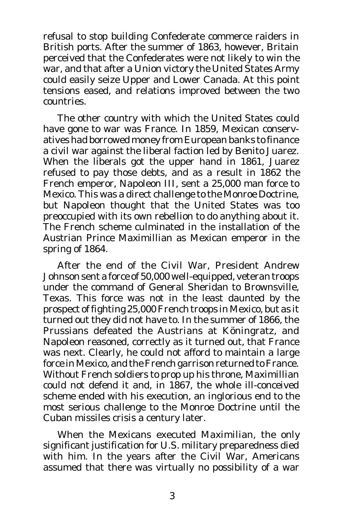refusal to stop building Confederate commerce raiders in British ports. After the summer of 1863, however, Britain perceived that the Confederates were not likely to win the war, and that after a Union victory the United States Army could easily seize Upper and Lower Canada. At this point tensions eased, and relations improved between the two countries.

The other country with which the United States could have gone to war was France. In 1859, Mexican conservatives had borrowed money from European banks to finance a civil war against the liberal faction led by Benito Juarez. When the liberals got the upper hand in 1861, Juarez refused to pay those debts, and as a result in 1862 the French emperor, Napoleon III, sent a 25,000 man force to Mexico. This was a direct challenge to the Monroe Doctrine, but Napoleon thought that the United States was too preoccupied with its own rebellion to do anything about it. The French scheme culminated in the installation of the Austrian Prince Maximillian as Mexican emperor in the spring of 1864.

After the end of the Civil War, President Andrew Johnson sent a force of 50,000 well-equipped, veteran troops under the command of General Sheridan to Brownsville, Texas. This force was not in the least daunted by the prospect of fighting 25,000 French troops in Mexico, but as it turned out they did not have to. In the summer of 1866, the Prussians defeated the Austrians at Köningratz, and Napoleon reasoned, correctly as it turned out, that France was next. Clearly, he could not afford to maintain a large force in Mexico, and the French garrison returned to France. Without French soldiers to prop up his throne, Maximillian could not defend it and, in 1867, the whole ill-conceived scheme ended with his execution, an inglorious end to the most serious challenge to the Monroe Doctrine until the Cuban missiles crisis a century later.

When the Mexicans executed Maximilian, the only significant justification for U.S. military preparedness died with him. In the years after the Civil War, Americans assumed that there was virtually no possibility of a war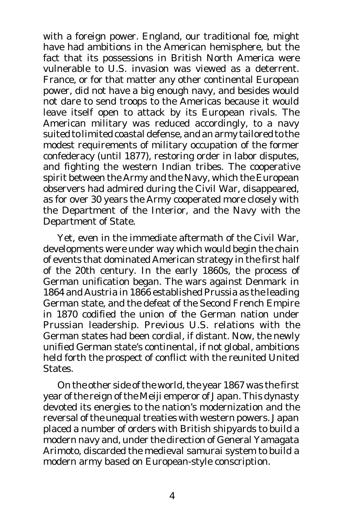with a foreign power. England, our traditional foe, might have had ambitions in the American hemisphere, but the fact that its possessions in British North America were vulnerable to U.S. invasion was viewed as a deterrent. France, or for that matter any other continental European power, did not have a big enough navy, and besides would not dare to send troops to the Americas because it would leave itself open to attack by its European rivals. The American military was reduced accordingly, to a navy suited to limited coastal defense, and an army tailored to the modest requirements of military occupation of the former confederacy (until 1877), restoring order in labor disputes, and fighting the western Indian tribes. The cooperative spirit between the Army and the Navy, which the European observers had admired during the Civil War, disappeared, as for over 30 years the Army cooperated more closely with the Department of the Interior, and the Navy with the Department of State.

Yet, even in the immediate aftermath of the Civil War, developments were under way which would begin the chain of events that dominated American strategy in the first half of the 20th century. In the early 1860s, the process of German unification began. The wars against Denmark in 1864 and Austria in 1866 established Prussia as the leading German state, and the defeat of the Second French Empire in 1870 codified the union of the German nation under Prussian leadership. Previous U.S. relations with the German states had been cordial, if distant. Now, the newly unified German state's continental, if not global, ambitions held forth the prospect of conflict with the reunited United States.

On the other side of the world, the year 1867 was the first year of the reign of the Meiji emperor of Japan. This dynasty devoted its energies to the nation's modernization and the reversal of the unequal treaties with western powers. Japan placed a number of orders with British shipyards to build a modern navy and, under the direction of General Yamagata Arimoto, discarded the medieval samurai system to build a modern army based on European-style conscription.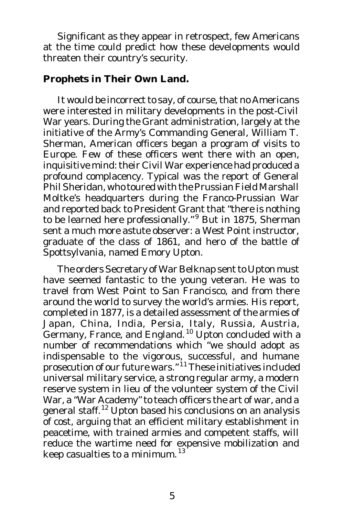Significant as they appear in retrospect, few Americans at the time could predict how these developments would threaten their country's security.

#### **Prophets in Their Own Land.**

It would be incorrect to say, of course, that no Americans were interested in military developments in the post-Civil War years. During the Grant administration, largely at the initiative of the Army's Commanding General, William T. Sherman, American officers began a program of visits to Europe. Few of these officers went there with an open, inquisitive mind: their Civil War experience had produced a profound complacency. Typical was the report of General Phil Sheridan, who toured with the Prussian Field Marshall Moltke's headquarters during the Franco-Prussian War and reported back to President Grant that "there is nothing to be learned here professionally."<sup>9</sup> But in 1875, Sherman sent a much more astute observer: a West Point instructor, graduate of the class of 1861, and hero of the battle of Spottsylvania, named Emory Upton.

The orders Secretary of War Belknap sent to Upton must have seemed fantastic to the young veteran. He was to travel from West Point to San Francisco, and from there around the world to survey the world's armies. His report, completed in 1877, is a detailed assessment of the armies of Japan, China, India, Persia, Italy, Russia, Austria, Germany, France, and England.<sup>10</sup> Upton concluded with a number of recommendations which "we should adopt as indispensable to the vigorous, successful, and humane prosecution of our future wars." <sup>11</sup> These initiatives included universal military service, a strong regular army, a modern reserve system in lieu of the volunteer system of the Civil War, a "War Academy" to teach officers the art of war, and a general staff.<sup>12</sup> Upton based his conclusions on an analysis of cost, arguing that an efficient military establishment in peacetime, with trained armies and competent staffs, will reduce the wartime need for expensive mobilization and keep casualties to a minimum. <sup>13</sup>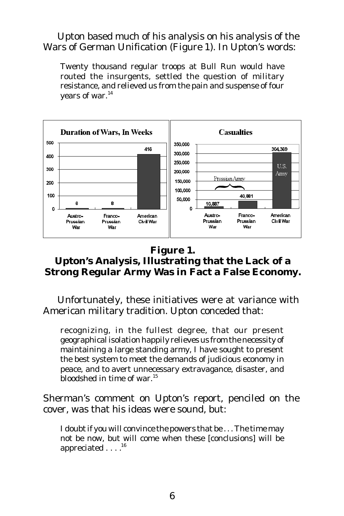Upton based much of his analysis on his analysis of the Wars of German Unification (Figure 1). In Upton's words:

Twenty thousand regular troops at Bull Run would have routed the insurgents, settled the question of military resistance, and relieved us from the pain and suspense of four years of war.<sup>14</sup>



#### **Figure 1. Upton's Analysis, Illustrating that the Lack of a Strong Regular Army Was in Fact a False Economy.**

Unfortunately, these initiatives were at variance with American military tradition. Upton conceded that:

recognizing, in the fullest degree, that our present geographical isolation happily relieves us from the necessity of maintaining a large standing army, I have sought to present the best system to meet the demands of judicious economy in peace, and to avert unnecessary extravagance, disaster, and bloodshed in time of war. 15

Sherman's comment on Upton's report, penciled on the cover, was that his ideas were sound, but:

I doubt if you will convince the powers that be . . . The time may not be now, but will come when these [conclusions] will be appreciated . . . .<sup>16</sup>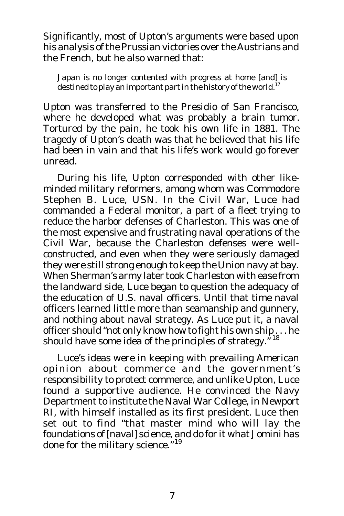Significantly, most of Upton's arguments were based upon his analysis of the Prussian victories over the Austrians and the French, but he also warned that:

Japan is no longer contented with progress at home [and] is destined to play an important part in the history of the world. $^{17}$ 

Upton was transferred to the Presidio of San Francisco, where he developed what was probably a brain tumor. Tortured by the pain, he took his own life in 1881. The tragedy of Upton's death was that he believed that his life had been in vain and that his life's work would go forever unread.

During his life, Upton corresponded with other likeminded military reformers, among whom was Commodore Stephen B. Luce, USN. In the Civil War, Luce had commanded a Federal monitor, a part of a fleet trying to reduce the harbor defenses of Charleston. This was one of the most expensive and frustrating naval operations of the Civil War, because the Charleston defenses were wellconstructed, and even when they were seriously damaged they were still strong enough to keep the Union navy at bay. When Sherman's army later took Charleston with ease from the landward side, Luce began to question the adequacy of the education of U.S. naval officers. Until that time naval officers learned little more than seamanship and gunnery, and nothing about naval strategy. As Luce put it, a naval officer should "not only know how to fight his own ship . . . he should have some idea of the principles of strategy."<sup>18</sup>

Luce's ideas were in keeping with prevailing American opinion about commerce and the government's responsibility to protect commerce, and unlike Upton, Luce found a supportive audience. He convinced the Navy Department to institute the Naval War College, in Newport RI, with himself installed as its first president. Luce then set out to find "that master mind who will lay the foundations of [naval] science, and do for it what Jomini has done for the military science."<sup>19</sup>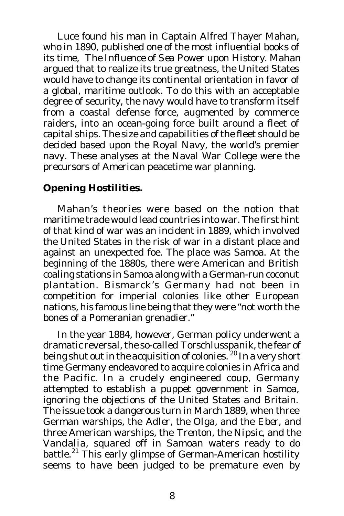Luce found his man in Captain Alfred Thayer Mahan, who in 1890, published one of the most influential books of its time, *The Influence of Sea Power upon History*. Mahan argued that to realize its true greatness, the United States would have to change its continental orientation in favor of a global, maritime outlook. To do this with an acceptable degree of security, the navy would have to transform itself from a coastal defense force, augmented by commerce raiders, into an ocean-going force built around a fleet of capital ships. The size and capabilities of the fleet should be decided based upon the Royal Navy, the world's premier navy. These analyses at the Naval War College were the precursors of American peacetime war planning.

#### **Opening Hostilities.**

Mahan's theories were based on the notion that maritime trade would lead countries into war. The first hint of that kind of war was an incident in 1889, which involved the United States in the risk of war in a distant place and against an unexpected foe. The place was Samoa. At the beginning of the 1880s, there were American and British coaling stations in Samoa along with a German-run coconut plantation. Bismarck's Germany had not been in competition for imperial colonies like other European nations, his famous line being that they were "not worth the bones of a Pomeranian grenadier."

In the year 1884, however, German policy underwent a dramatic reversal, the so-called *Torschlusspanik,* the fear of being shut out in the acquisition of colonies.<sup>'20</sup> In a very short time Germany endeavored to acquire colonies in Africa and the Pacific. In a crudely engineered coup, Germany attempted to establish a puppet government in Samoa, ignoring the objections of the United States and Britain. The issue took a dangerous turn in March 1889, when three German warships, the *Adler*, the *Olga*, and the *Eber*, and three American warships, the *Trenton*, the *Nipsic*, and the *Vandalia*, squared off in Samoan waters ready to do battle.<sup>21</sup> This early glimpse of German-American hostility seems to have been judged to be premature even by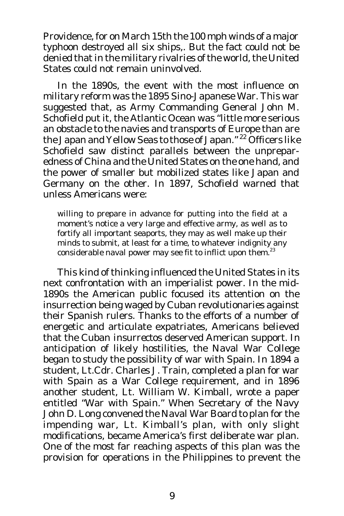Providence, for on March 15th the 100 mph winds of a major typhoon destroyed all six ships,. But the fact could not be denied that in the military rivalries of the world, the United States could not remain uninvolved.

In the 1890s, the event with the most influence on military reform was the 1895 Sino-Japanese War. This war suggested that, as Army Commanding General John M. Schofield put it, the Atlantic Ocean was "little more serious an obstacle to the navies and transports of Europe than are the Japan and Yellow Seas to those of Japan." <sup>22</sup> Officers like Schofield saw distinct parallels between the unpreparedness of China and the United States on the one hand, and the power of smaller but mobilized states like Japan and Germany on the other. In 1897, Schofield warned that unless Americans were:

willing to prepare in advance for putting into the field at a moment's notice a very large and effective army, as well as to fortify all important seaports, they may as well make up their minds to submit, at least for a time, to whatever indignity any considerable naval power may see fit to inflict upon them.<sup>23</sup>

This kind of thinking influenced the United States in its next confrontation with an imperialist power. In the mid-1890s the American public focused its attention on the insurrection being waged by Cuban revolutionaries against their Spanish rulers. Thanks to the efforts of a number of energetic and articulate expatriates, Americans believed that the Cuban *insurrectos* deserved American support. In anticipation of likely hostilities, the Naval War College began to study the possibility of war with Spain. In 1894 a student, Lt.Cdr. Charles J. Train, completed a plan for war with Spain as a War College requirement, and in 1896 another student, Lt. William W. Kimball, wrote a paper entitled "War with Spain." When Secretary of the Navy John D. Long convened the Naval War Board to plan for the impending war, Lt. Kimball's plan, with only slight modifications, became America's first deliberate war plan. One of the most far reaching aspects of this plan was the provision for operations in the Philippines to prevent the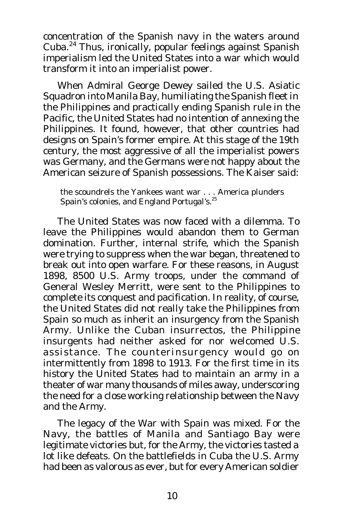concentration of the Spanish navy in the waters around Cuba. 24 Thus, ironically, popular feelings against Spanish imperialism led the United States into a war which would transform it into an imperialist power.

When Admiral George Dewey sailed the U.S. Asiatic Squadron into Manila Bay, humiliating the Spanish fleet in the Philippines and practically ending Spanish rule in the Pacific, the United States had no intention of annexing the Philippines. It found, however, that other countries had designs on Spain's former empire. At this stage of the 19th century, the most aggressive of all the imperialist powers was Germany, and the Germans were not happy about the American seizure of Spanish possessions. The Kaiser said:

the scoundrels the Yankees want war . . . America plunders Spain's colonies, and England Portugal's.<sup>25</sup>

The United States was now faced with a dilemma. To leave the Philippines would abandon them to German domination. Further, internal strife, which the Spanish were trying to suppress when the war began, threatened to break out into open warfare. For these reasons, in August 1898, 8500 U.S. Army troops, under the command of General Wesley Merritt, were sent to the Philippines to complete its conquest and pacification. In reality, of course, the United States did not really take the Philippines from Spain so much as inherit an insurgency from the Spanish Army. Unlike the Cuban insurrectos, the Philippine insurgents had neither asked for nor welcomed U.S. assistance. The counterinsurgency would go on intermittently from 1898 to 1913. For the first time in its history the United States had to maintain an army in a theater of war many thousands of miles away, underscoring the need for a close working relationship between the Navy and the Army.

The legacy of the War with Spain was mixed. For the Navy, the battles of Manila and Santiago Bay were legitimate victories but, for the Army, the victories tasted a lot like defeats. On the battlefields in Cuba the U.S. Army had been as valorous as ever, but for every American soldier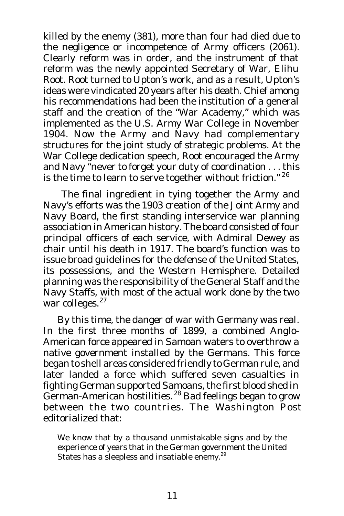killed by the enemy (381), more than four had died due to the negligence or incompetence of Army officers (2061). Clearly reform was in order, and the instrument of that reform was the newly appointed Secretary of War, Elihu Root. Root turned to Upton's work, and as a result, Upton's ideas were vindicated 20 years after his death. Chief among his recommendations had been the institution of a general staff and the creation of the "War Academy," which was implemented as the U.S. Army War College in November 1904. Now the Army and Navy had complementary structures for the joint study of strategic problems. At the War College dedication speech, Root encouraged the Army and Navy "never to forget your duty of coordination . . . this is the time to learn to serve together without friction." $26$ 

 The final ingredient in tying together the Army and Navy's efforts was the 1903 creation of the Joint Army and Navy Board, the first standing interservice war planning association in American history. The board consisted of four principal officers of each service, with Admiral Dewey as chair until his death in 1917. The board's function was to issue broad guidelines for the defense of the United States, its possessions, and the Western Hemisphere. Detailed planning was the responsibility of the General Staff and the Navy Staffs, with most of the actual work done by the two war colleges.<sup>27</sup>

By this time, the danger of war with Germany was real. In the first three months of 1899, a combined Anglo-American force appeared in Samoan waters to overthrow a native government installed by the Germans. This force began to shell areas considered friendly to German rule, and later landed a force which suffered seven casualties in fighting German supported Samoans, the first blood shed in German-American hostilities.<sup>28</sup> Bad feelings began to grow between the two countries. The *Washington Post* editorialized that:

We know that by a thousand unmistakable signs and by the experience of years that in the German government the United States has a sleepless and insatiable enemy.<sup>29</sup>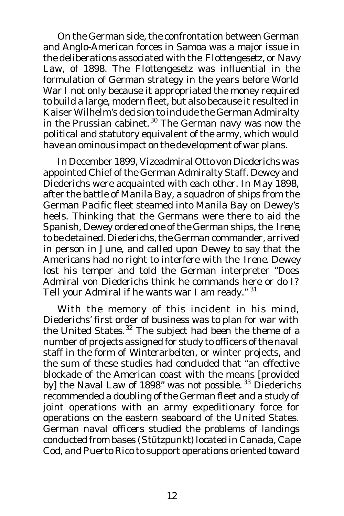On the German side, the confrontation between German and Anglo-American forces in Samoa was a major issue in the deliberations associated with the *Flottengesetz,* or Navy Law, of 1898. The *Flottengesetz* was influential in the formulation of German strategy in the years before World War I not only because it appropriated the money required to build a large, modern fleet, but also because it resulted in Kaiser Wilhelm's decision to include the German Admiralty in the Prussian cabinet.<sup>30</sup> The German navy was now the political and statutory equivalent of the army, which would have an ominous impact on the development of war plans.

In December 1899, Vizeadmiral Otto von Diederichs was appointed Chief of the German Admiralty Staff. Dewey and Diederichs were acquainted with each other. In May 1898, after the battle of Manila Bay, a squadron of ships from the German Pacific fleet steamed into Manila Bay on Dewey's heels. Thinking that the Germans were there to aid the Spanish, Dewey ordered one of the German ships, the *Irene*, to be detained. Diederichs, the German commander, arrived in person in June, and called upon Dewey to say that the Americans had no right to interfere with the *Irene*. Dewey lost his temper and told the German interpreter "Does Admiral von Diederichs think he commands here or do I? Tell your Admiral if he wants war I am ready." 31

With the memory of this incident in his mind, Diederichs' first order of business was to plan for war with the United States.<sup>32</sup> The subject had been the theme of a number of projects assigned for study to officers of the naval staff in the form of *Winterarbeiten*, or winter projects, and the sum of these studies had concluded that "an effective blockade of the American coast with the means [provided by] the Naval Law of 1898" was not possible.<sup>33</sup> Diederichs recommended a doubling of the German fleet and a study of joint operations with an army expeditionary force for operations on the eastern seaboard of the United States. German naval officers studied the problems of landings conducted from bases (*Stützpunkt*) located in Canada, Cape Cod, and Puerto Rico to support operations oriented toward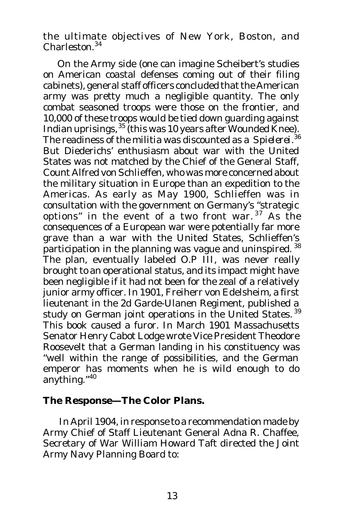the ultimate objectives of New York, Boston, and Charleston.<sup>34</sup>

On the Army side (one can imagine Scheibert's studies on American coastal defenses coming out of their filing cabinets), general staff officers concluded that the American army was pretty much a negligible quantity. The only combat seasoned troops were those on the frontier, and 10,000 of these troops would be tied down guarding against Indian uprisings, <sup>35</sup> (this was 10 years after Wounded Knee). The readiness of the militia was discounted as a *Spielerei*. 36 But Diederichs' enthusiasm about war with the United States was not matched by the Chief of the General Staff, Count Alfred von Schlieffen, who was more concerned about the military situation in Europe than an expedition to the Americas. As early as May 1900, Schlieffen was in consultation with the government on Germany's "strategic options" in the event of a two front war.<sup>37</sup> As the consequences of a European war were potentially far more grave than a war with the United States, Schlieffen's participation in the planning was vague and uninspired. 38 The plan, eventually labeled O.P III, was never really brought to an operational status, and its impact might have been negligible if it had not been for the zeal of a relatively junior army officer. In 1901, Freiherr von Edelsheim, a first lieutenant in the 2d Garde-Ulanen Regiment, published a study on German joint operations in the United States.<sup>39</sup> This book caused a furor. In March 1901 Massachusetts Senator Henry Cabot Lodge wrote Vice President Theodore Roosevelt that a German landing in his constituency was "well within the range of possibilities, and the German emperor has moments when he is wild enough to do anything."<sup>40</sup>

#### **The Response—The Color Plans.**

 In April 1904, in response to a recommendation made by Army Chief of Staff Lieutenant General Adna R. Chaffee, Secretary of War William Howard Taft directed the Joint Army Navy Planning Board to: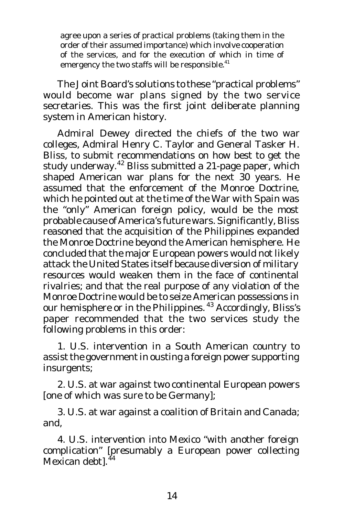agree upon a series of practical problems (taking them in the order of their assumed importance) which involve cooperation of the services, and for the execution of which in time of emergency the two staffs will be responsible.<sup>41</sup>

The Joint Board's solutions to these "practical problems" would become war plans signed by the two service secretaries. This was the first joint deliberate planning system in American history.

Admiral Dewey directed the chiefs of the two war colleges, Admiral Henry C. Taylor and General Tasker H. Bliss, to submit recommendations on how best to get the study underway.<sup>42</sup> Bliss submitted a 21-page paper, which shaped American war plans for the next 30 years. He assumed that the enforcement of the Monroe Doctrine, which he pointed out at the time of the War with Spain was the "only" American foreign policy, would be the most probable cause of America's future wars. Significantly, Bliss reasoned that the acquisition of the Philippines expanded the Monroe Doctrine beyond the American hemisphere. He concluded that the major European powers would not likely attack the United States itself because diversion of military resources would weaken them in the face of continental rivalries; and that the real purpose of any violation of the Monroe Doctrine would be to seize American possessions in our hemisphere or in the Philippines. <sup>43</sup> Accordingly, Bliss's paper recommended that the two services study the following problems in this order:

1. U.S. intervention in a South American country to assist the government in ousting a foreign power supporting insurgents;

2. U.S. at war against two continental European powers [one of which was sure to be Germany];

3. U.S. at war against a coalition of Britain and Canada; and,

4. U.S. intervention into Mexico "with another foreign complication" [presumably a European power collecting Mexican debt].<sup>44</sup>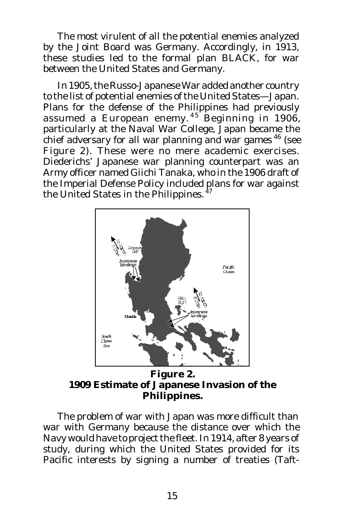The most virulent of all the potential enemies analyzed by the Joint Board was Germany. Accordingly, in 1913, these studies led to the formal plan BLACK, for war between the United States and Germany.

In 1905, the Russo-Japanese War added another country to the list of potential enemies of the United States—Japan. Plans for the defense of the Philippines had previously assumed a European enemy.<sup>45</sup> Beginning in 1906, particularly at the Naval War College, Japan became the chief adversary for all war planning and war games <sup>46</sup> (see Figure 2). These were no mere academic exercises. Diederichs' Japanese war planning counterpart was an Army officer named Giichi Tanaka, who in the 1906 draft of the Imperial Defense Policy included plans for war against the United States in the Philippines. <sup>47</sup>



**Figure 2. 1909 Estimate of Japanese Invasion of the Philippines.**

The problem of war with Japan was more difficult than war with Germany because the distance over which the Navy would have to project the fleet. In 1914, after 8 years of study, during which the United States provided for its Pacific interests by signing a number of treaties (Taft-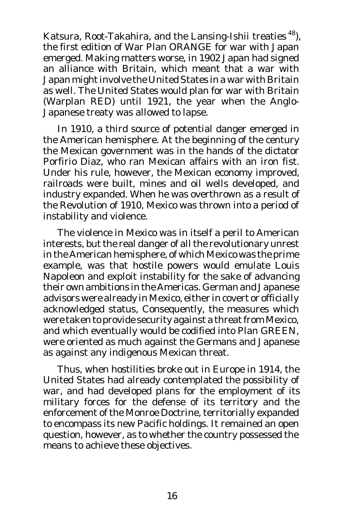Katsura, Root-Takahira, and the Lansing-Ishii treaties<sup>48</sup>), the first edition of War Plan ORANGE for war with Japan emerged. Making matters worse, in 1902 Japan had signed an alliance with Britain, which meant that a war with Japan might involve the United States in a war with Britain as well. The United States would plan for war with Britain (Warplan RED) until 1921, the year when the Anglo-Japanese treaty was allowed to lapse.

In 1910, a third source of potential danger emerged in the American hemisphere. At the beginning of the century the Mexican government was in the hands of the dictator Porfirio Diaz, who ran Mexican affairs with an iron fist. Under his rule, however, the Mexican economy improved, railroads were built, mines and oil wells developed, and industry expanded. When he was overthrown as a result of the Revolution of 1910, Mexico was thrown into a period of instability and violence.

The violence in Mexico was in itself a peril to American interests, but the real danger of all the revolutionary unrest in the American hemisphere, of which Mexico was the prime example, was that hostile powers would emulate Louis Napoleon and exploit instability for the sake of advancing their own ambitions in the Americas. German and Japanese advisors were already in Mexico, either in covert or officially acknowledged status, Consequently, the measures which were taken to provide security against a threat from Mexico, and which eventually would be codified into Plan GREEN, were oriented as much against the Germans and Japanese as against any indigenous Mexican threat.

Thus, when hostilities broke out in Europe in 1914, the United States had already contemplated the possibility of war, and had developed plans for the employment of its military forces for the defense of its territory and the enforcement of the Monroe Doctrine, territorially expanded to encompass its new Pacific holdings. It remained an open question, however, as to whether the country possessed the means to achieve these objectives.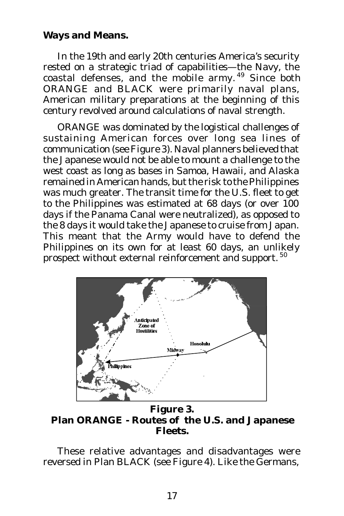### **Ways and Means.**

In the 19th and early 20th centuries America's security rested on a strategic triad of capabilities—the Navy, the coastal defenses, and the mobile army.<sup>49</sup> Since both ORANGE and BLACK were primarily naval plans, American military preparations at the beginning of this century revolved around calculations of naval strength.

ORANGE was dominated by the logistical challenges of sustaining American forces over long sea lines of communication (see Figure 3). Naval planners believed that the Japanese would not be able to mount a challenge to the west coast as long as bases in Samoa, Hawaii, and Alaska remained in American hands, but the risk to the Philippines was much greater. The transit time for the U.S. fleet to get to the Philippines was estimated at 68 days (or over 100 days if the Panama Canal were neutralized), as opposed to the 8 days it would take the Japanese to cruise from Japan. This meant that the Army would have to defend the Philippines on its own for at least 60 days, an unlikely prospect without external reinforcement and support.<sup>50</sup>



**Figure 3. Plan ORANGE - Routes of the U.S. and Japanese Fleets.**

These relative advantages and disadvantages were reversed in Plan BLACK (see Figure 4). Like the Germans,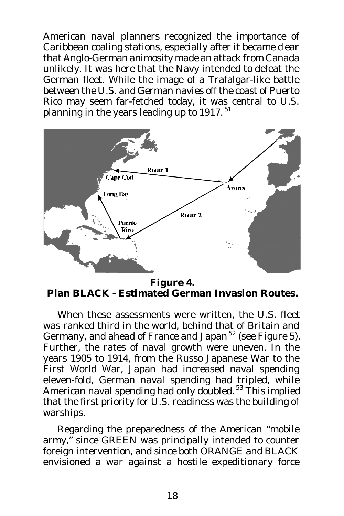American naval planners recognized the importance of Caribbean coaling stations, especially after it became clear that Anglo-German animosity made an attack from Canada unlikely. It was here that the Navy intended to defeat the German fleet. While the image of a Trafalgar-like battle between the U.S. and German navies off the coast of Puerto Rico may seem far-fetched today, it was central to U.S. planning in the years leading up to 1917.<sup>51</sup>



**Figure 4. Plan BLACK - Estimated German Invasion Routes.**

When these assessments were written, the U.S. fleet was ranked third in the world, behind that of Britain and Germany, and ahead of France and Japan <sup>52</sup> (see Figure 5). Further, the rates of naval growth were uneven. In the years 1905 to 1914, from the Russo Japanese War to the First World War, Japan had increased naval spending eleven-fold, German naval spending had tripled, while American naval spending had only doubled. 53 This implied that the first priority for U.S. readiness was the building of warships.

Regarding the preparedness of the American "mobile army," since GREEN was principally intended to counter foreign intervention, and since both ORANGE and BLACK envisioned a war against a hostile expeditionary force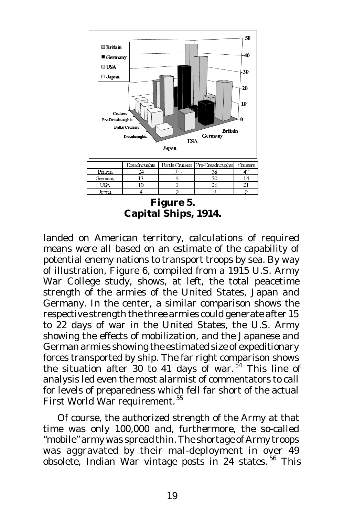

**Figure 5. Capital Ships, 1914.**

landed on American territory, calculations of required means were all based on an estimate of the capability of potential enemy nations to transport troops by sea. By way of illustration, Figure 6, compiled from a 1915 U.S. Army War College study, shows, at left, the total peacetime strength of the armies of the United States, Japan and Germany. In the center, a similar comparison shows the respective strength the three armies could generate after 15 to 22 days of war in the United States, the U.S. Army showing the effects of mobilization, and the Japanese and German armies showing the estimated size of expeditionary forces transported by ship. The far right comparison shows the situation after 30 to 41 days of war.<sup>54</sup> This line of analysis led even the most alarmist of commentators to call for levels of preparedness which fell far short of the actual First World War requirement. 55

Of course, the authorized strength of the Army at that time was only 100,000 and, furthermore, the so-called "mobile" army was spread thin. The shortage of Army troops was aggravated by their mal-deployment in over 49 obsolete, Indian War vintage posts in 24 states.<sup>56</sup> This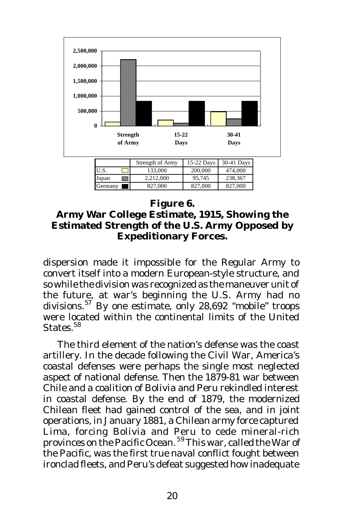

## **Figure 6.**

**Army War College Estimate, 1915, Showing the Estimated Strength of the U.S. Army Opposed by Expeditionary Forces.**

dispersion made it impossible for the Regular Army to convert itself into a modern European-style structure, and so while the division was recognized as the maneuver unit of the future, at war's beginning the U.S. Army had no divisions. <sup>57</sup> By one estimate, only 28,692 "mobile" troops were located within the continental limits of the United States.<sup>58</sup>

The third element of the nation's defense was the coast artillery. In the decade following the Civil War, America's coastal defenses were perhaps the single most neglected aspect of national defense. Then the 1879-81 war between Chile and a coalition of Bolivia and Peru rekindled interest in coastal defense. By the end of 1879, the modernized Chilean fleet had gained control of the sea, and in joint operations, in January 1881, a Chilean army force captured Lima, forcing Bolivia and Peru to cede mineral-rich provinces on the Pacific Ocean. <sup>59</sup> This war, called the War of the Pacific, was the first true naval conflict fought between ironclad fleets, and Peru's defeat suggested how inadequate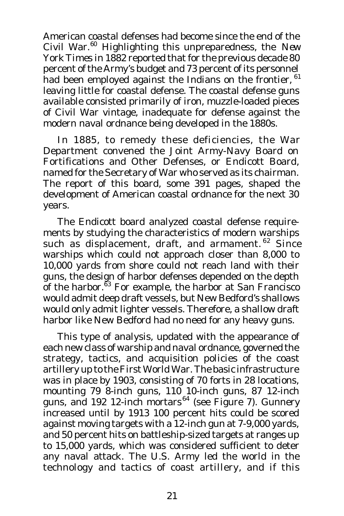American coastal defenses had become since the end of the Civil War. <sup>60</sup> Highlighting this unpreparedness, the *New York Times* in 1882 reported that for the previous decade 80 percent of the Army's budget and 73 percent of its personnel had been employed against the Indians on the frontier, <sup>61</sup> leaving little for coastal defense. The coastal defense guns available consisted primarily of iron, muzzle-loaded pieces of Civil War vintage, inadequate for defense against the modern naval ordnance being developed in the 1880s.

In 1885, to remedy these deficiencies, the War Department convened the Joint Army-Navy Board on Fortifications and Other Defenses, or Endicott Board, named for the Secretary of War who served as its chairman. The report of this board, some 391 pages, shaped the development of American coastal ordnance for the next 30 years.

The Endicott board analyzed coastal defense requirements by studying the characteristics of modern warships such as displacement, draft, and armament.<sup>62</sup> Since warships which could not approach closer than 8,000 to 10,000 yards from shore could not reach land with their guns, the design of harbor defenses depended on the depth of the harbor.<sup>83</sup> For example, the harbor at San Francisco would admit deep draft vessels, but New Bedford's shallows would only admit lighter vessels. Therefore, a shallow draft harbor like New Bedford had no need for any heavy guns.

This type of analysis, updated with the appearance of each new class of warship and naval ordnance, governed the strategy, tactics, and acquisition policies of the coast artillery up to the First World War. The basic infrastructure was in place by 1903, consisting of 70 forts in 28 locations, mounting 79 8-inch guns, 110 10-inch guns, 87 12-inch guns, and 192 12-inch mortars<sup>64</sup> (see Figure 7). Gunnery increased until by 1913 100 percent hits could be scored against moving targets with a 12-inch gun at 7-9,000 yards, and 50 percent hits on battleship-sized targets at ranges up to 15,000 yards, which was considered sufficient to deter any naval attack. The U.S. Army led the world in the technology and tactics of coast artillery, and if this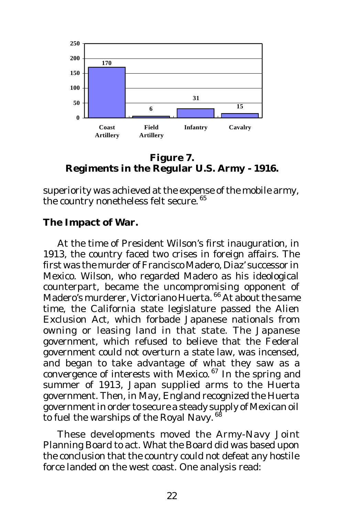

**Figure 7. Regiments in the Regular U.S. Army - 1916.**

superiority was achieved at the expense of the mobile army, the country nonetheless felt secure. 65

### **The Impact of War.**

At the time of President Wilson's first inauguration, in 1913, the country faced two crises in foreign affairs. The first was the murder of Francisco Madero, Diaz' successor in Mexico. Wilson, who regarded Madero as his ideological counterpart, became the uncompromising opponent of Madero's murderer, Victoriano Huerta. 66 At about the same time, the California state legislature passed the Alien Exclusion Act, which forbade Japanese nationals from owning or leasing land in that state. The Japanese government, which refused to believe that the Federal government could not overturn a state law, was incensed, and began to take advantage of what they saw as a convergence of interests with Mexico.<sup>67</sup> In the spring and summer of 1913, Japan supplied arms to the Huerta government. Then, in May, England recognized the Huerta government in order to secure a steady supply of Mexican oil to fuel the warships of the Royal Navy.<sup>68</sup>

These developments moved the Army-Navy Joint Planning Board to act. What the Board did was based upon the conclusion that the country could not defeat any hostile force landed on the west coast. One analysis read: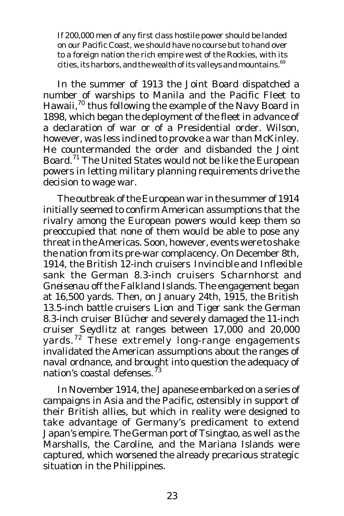If 200,000 men of any first class hostile power should be landed on our Pacific Coast, we should have no course but to hand over to a foreign nation the rich empire west of the Rockies, with its cities, its harbors, and the wealth of its valleys and mountains.<sup>69</sup>

In the summer of 1913 the Joint Board dispatched a number of warships to Manila and the Pacific Fleet to Hawaii,<sup>70</sup> thus following the example of the Navy Board in 1898, which began the deployment of the fleet in advance of a declaration of war or of a Presidential order. Wilson, however, was less inclined to provoke a war than McKinley. He countermanded the order and disbanded the Joint Board.<sup>71</sup> The United States would not be like the European powers in letting military planning requirements drive the decision to wage war.

The outbreak of the European war in the summer of 1914 initially seemed to confirm American assumptions that the rivalry among the European powers would keep them so preoccupied that none of them would be able to pose any threat in the Americas. Soon, however, events were to shake the nation from its pre-war complacency. On December 8th, 1914, the British 12-inch cruisers *Invincible* and *Inflexible* sank the German 8.3-inch cruisers *Scharnhorst* and *Gneisenau* off the Falkland Islands. The engagement began at 16,500 yards. Then, on January 24th, 1915, the British 13.5-inch battle cruisers *Lion* and *Tiger* sank the German 8.3-inch cruiser *Blücher* and severely damaged the 11-inch cruiser *Seydlitz* at ranges between 17,000 and 20,000 yards.<sup>72</sup> These extremely long-range engagements invalidated the American assumptions about the ranges of naval ordnance, and brought into question the adequacy of nation's coastal defenses.  $^{\bar{7}3}$ 

In November 1914, the Japanese embarked on a series of campaigns in Asia and the Pacific, ostensibly in support of their British allies, but which in reality were designed to take advantage of Germany's predicament to extend Japan's empire. The German port of Tsingtao, as well as the Marshalls, the Caroline, and the Mariana Islands were captured, which worsened the already precarious strategic situation in the Philippines.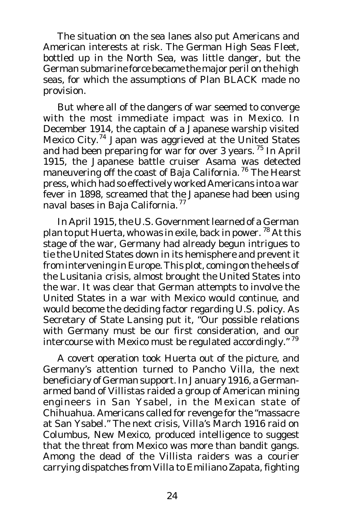The situation on the sea lanes also put Americans and American interests at risk. The German High Seas Fleet, bottled up in the North Sea, was little danger, but the German submarine force became the major peril on the high seas, for which the assumptions of Plan BLACK made no provision.

But where all of the dangers of war seemed to converge with the most immediate impact was in Mexico. In December 1914, the captain of a Japanese warship visited Mexico City.<sup>74</sup> Japan was aggrieved at the United States and had been preparing for war for over 3 years.<sup>75</sup> In April 1915, the Japanese battle cruiser *Asama* was detected maneuvering off the coast of Baja California.<sup>76</sup> The Hearst press, which had so effectively worked Americans into a war fever in 1898, screamed that the Japanese had been using naval bases in Baja California.<sup>77</sup>

In April 1915, the U.S. Government learned of a German plan to put Huerta, who was in exile, back in power. <sup>78</sup> At this stage of the war, Germany had already begun intrigues to tie the United States down in its hemisphere and prevent it from intervening in Europe. This plot, coming on the heels of the *Lusitania* crisis, almost brought the United States into the war. It was clear that German attempts to involve the United States in a war with Mexico would continue, and would become the deciding factor regarding U.S. policy. As Secretary of State Lansing put it, "Our possible relations with Germany must be our first consideration, and our intercourse with Mexico must be regulated accordingly."<sup>79</sup>

A covert operation took Huerta out of the picture, and Germany's attention turned to Pancho Villa, the next beneficiary of German support. In January 1916, a Germanarmed band of Villistas raided a group of American mining engineers in San Ysabel, in the Mexican state of Chihuahua. Americans called for revenge for the "massacre at San Ysabel." The next crisis, Villa's March 1916 raid on Columbus, New Mexico, produced intelligence to suggest that the threat from Mexico was more than bandit gangs. Among the dead of the Villista raiders was a courier carrying dispatches from Villa to Emiliano Zapata, fighting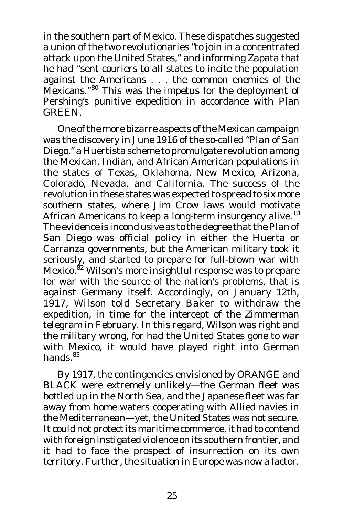in the southern part of Mexico. These dispatches suggested a union of the two revolutionaries "to join in a concentrated attack upon the United States," and informing Zapata that he had "sent couriers to all states to incite the population against the Americans . . . the common enemies of the Mexicans."<sup>80</sup> This was the impetus for the deployment of Pershing's punitive expedition in accordance with Plan GREEN.

One of the more bizarre aspects of the Mexican campaign was the discovery in June 1916 of the so-called "Plan of San Diego," a Huertista scheme to promulgate revolution among the Mexican, Indian, and African American populations in the states of Texas, Oklahoma, New Mexico, Arizona, Colorado, Nevada, and California. The success of the revolution in these states was expected to spread to six more southern states, where Jim Crow laws would motivate African Americans to keep a long-term insurgency alive. <sup>81</sup> The evidence is inconclusive as to the degree that the Plan of San Diego was official policy in either the Huerta or Carranza governments, but the American military took it seriously, and started to prepare for full-blown war with Mexico.<sup>82</sup> Wilson's more insightful response was to prepare for war with the source of the nation's problems, that is against Germany itself. Accordingly, on January 12th, 1917, Wilson told Secretary Baker to withdraw the expedition, in time for the intercept of the Zimmerman telegram in February. In this regard, Wilson was right and the military wrong, for had the United States gone to war with Mexico, it would have played right into German hands.<sup>83</sup>

By 1917, the contingencies envisioned by ORANGE and BLACK were extremely unlikely—the German fleet was bottled up in the North Sea, and the Japanese fleet was far away from home waters cooperating with Allied navies in the Mediterranean—yet, the United States was not secure. It could not protect its maritime commerce, it had to contend with foreign instigated violence on its southern frontier, and it had to face the prospect of insurrection on its own territory. Further, the situation in Europe was now a factor.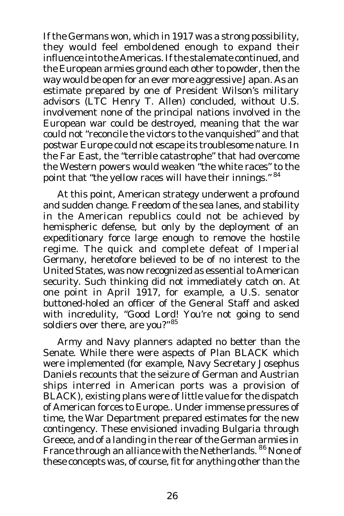If the Germans won, which in 1917 was a strong possibility, they would feel emboldened enough to expand their influence into the Americas. If the stalemate continued, and the European armies ground each other to powder, then the way would be open for an ever more aggressive Japan. As an estimate prepared by one of President Wilson's military advisors (LTC Henry T. Allen) concluded, without U.S. involvement none of the principal nations involved in the European war could be destroyed, meaning that the war could not "reconcile the victors to the vanquished" and that postwar Europe could not escape its troublesome nature. In the Far East, the "terrible catastrophe" that had overcome the Western powers would weaken "the white races" to the point that "the yellow races will have their innings." 84

At this point, American strategy underwent a profound and sudden change. Freedom of the sea lanes, and stability in the American republics could not be achieved by hemispheric defense, but only by the deployment of an expeditionary force large enough to remove the hostile regime. The quick and complete defeat of Imperial Germany, heretofore believed to be of no interest to the United States, was now recognized as essential to American security. Such thinking did not immediately catch on. At one point in April 1917, for example, a U.S. senator buttoned-holed an officer of the General Staff and asked with incredulity, "Good Lord! You're not going to send soldiers over there, are you?"<sup>85</sup>

Army and Navy planners adapted no better than the Senate. While there were aspects of Plan BLACK which were implemented (for example, Navy Secretary Josephus Daniels recounts that the seizure of German and Austrian ships interred in American ports was a provision of BLACK), existing plans were of little value for the dispatch of American forces to Europe.. Under immense pressures of time, the War Department prepared estimates for the new contingency. These envisioned invading Bulgaria through Greece, and of a landing in the rear of the German armies in France through an alliance with the Netherlands. <sup>86</sup> None of these concepts was, of course, fit for anything other than the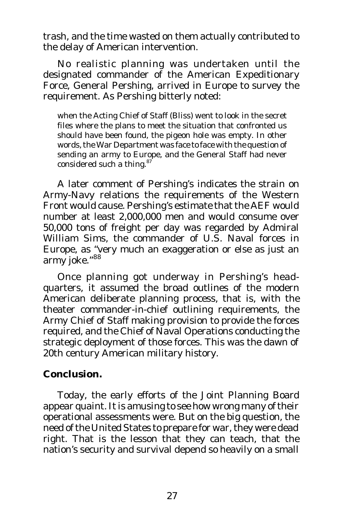trash, and the time wasted on them actually contributed to the delay of American intervention.

No realistic planning was undertaken until the designated commander of the American Expeditionary Force, General Pershing, arrived in Europe to survey the requirement. As Pershing bitterly noted:

when the Acting Chief of Staff (Bliss) went to look in the secret files where the plans to meet the situation that confronted us should have been found, the pigeon hole was empty. In other words, the War Department was face to face with the question of sending an army to Europe, and the General Staff had never considered such a thing.<sup>87</sup>

A later comment of Pershing's indicates the strain on Army-Navy relations the requirements of the Western Front would cause. Pershing's estimate that the AEF would number at least 2,000,000 men and would consume over 50,000 tons of freight per day was regarded by Admiral William Sims, the commander of U.S. Naval forces in Europe, as "very much an exaggeration or else as just an army joke."<sup>88</sup>

Once planning got underway in Pershing's headquarters, it assumed the broad outlines of the modern American deliberate planning process, that is, with the theater commander-in-chief outlining requirements, the Army Chief of Staff making provision to provide the forces required, and the Chief of Naval Operations conducting the strategic deployment of those forces. This was the dawn of 20th century American military history.

#### **Conclusion.**

Today, the early efforts of the Joint Planning Board appear quaint. It is amusing to see how wrong many of their operational assessments were. But on the big question, the need of the United States to prepare for war, they were dead right. That is the lesson that they can teach, that the nation's security and survival depend so heavily on a small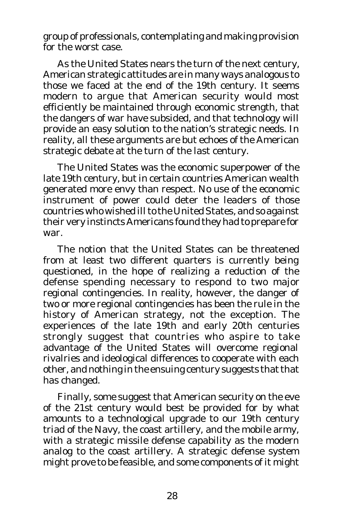group of professionals, contemplating and making provision for the worst case.

As the United States nears the turn of the next century, American strategic attitudes are in many ways analogous to those we faced at the end of the 19th century. It seems modern to argue that American security would most efficiently be maintained through economic strength, that the dangers of war have subsided, and that technology will provide an easy solution to the nation's strategic needs. In reality, all these arguments are but echoes of the American strategic debate at the turn of the last century.

The United States was the economic superpower of the late 19th century, but in certain countries American wealth generated more envy than respect. No use of the economic instrument of power could deter the leaders of those countries who wished ill to the United States, and so against their very instincts Americans found they had to prepare for war.

The notion that the United States can be threatened from at least two different quarters is currently being questioned, in the hope of realizing a reduction of the defense spending necessary to respond to two major regional contingencies. In reality, however, the danger of two or more regional contingencies has been the rule in the history of American strategy, not the exception. The experiences of the late 19th and early 20th centuries strongly suggest that countries who aspire to take advantage of the United States will overcome regional rivalries and ideological differences to cooperate with each other, and nothing in the ensuing century suggests that that has changed.

Finally, some suggest that American security on the eve of the 21st century would best be provided for by what amounts to a technological upgrade to our 19th century triad of the Navy, the coast artillery, and the mobile army, with a strategic missile defense capability as the modern analog to the coast artillery. A strategic defense system might prove to be feasible, and some components of it might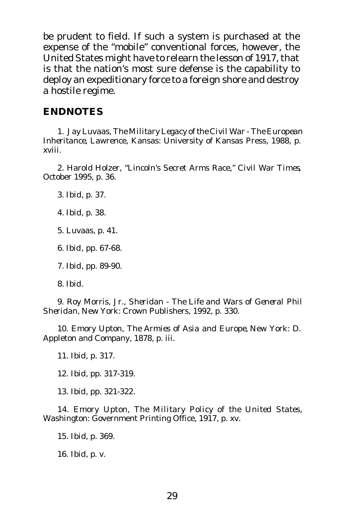be prudent to field. If such a system is purchased at the expense of the "mobile" conventional forces, however, the United States might have to relearn the lesson of 1917, that is that the nation's most sure defense is the capability to deploy an expeditionary force to a foreign shore and destroy a hostile regime.

#### **ENDNOTES**

1. Jay Luvaas, *The Military Legacy of the Civil War - The European Inheritance,* Lawrence, Kansas: University of Kansas Press, 1988, p. xviii.

2. Harold Holzer, "Lincoln's Secret Arms Race," *Civil War Times*, October 1995, p. 36.

3. *Ibid*, p. 37.

4. *Ibid*, p. 38.

5. Luvaas, p. 41.

6. *Ibid*, pp. 67-68.

7. *Ibid*, pp. 89-90.

8. *Ibid*.

9. Roy Morris, Jr., *Sheridan - The Life and Wars of General Phil Sheridan,* New York: Crown Publishers, 1992, p. 330.

10. Emory Upton, *The Armies of Asia and Europe,* New York: D. Appleton and Company, 1878, p. iii.

11. *Ibid*, p. 317.

12. *Ibid*, pp. 317-319.

13. *Ibid*, pp. 321-322.

14. Emory Upton, *The Military Policy of the United States,* Washington: Government Printing Office, 1917, p. xv.

15. *Ibid*, p. 369.

16. *Ibid*, p. v.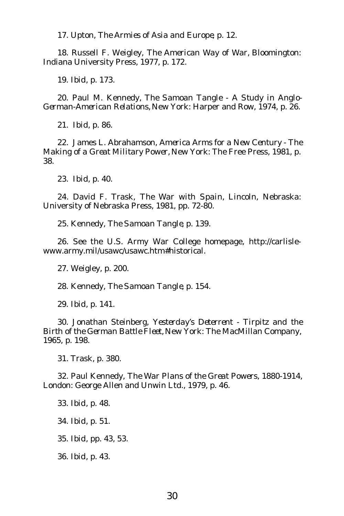17. Upton, *The Armies of Asia and Europe*, p. 12.

18. Russell F. Weigley, *The American Way of War,* Bloomington: Indiana University Press, 1977, p. 172.

19. *Ibid*, p. 173.

20. Paul M. Kennedy, *The Samoan Tangle - A Study in Anglo-German-American Relations,* New York: Harper and Row, 1974, p. 26.

21. *Ibid*, p. 86.

22. James L. Abrahamson, *America Arms for a New Century - The Making of a Great Military Power,* New York: The Free Press, 1981, p. 38.

23. *Ibid*, p. 40.

24. David F. Trask, *The War with Spain,* Lincoln, Nebraska: University of Nebraska Press, 1981, pp. 72-80.

25. Kennedy, *The Samoan Tangle*, p. 139.

26. See the U.S. Army War College homepage, http://carlislewww.army.mil/usawc/usawc.htm#historical.

27. Weigley, p. 200.

28. Kennedy, *The Samoan Tangle*, p. 154.

29. *Ibid*, p. 141.

30. Jonathan Steinberg, *Yesterday's Deterrent - Tirpitz and the Birth of the German Battle Fleet,* New York: The MacMillan Company, 1965, p. 198.

31. Trask, p. 380.

32. Paul Kennedy, *The War Plans of the Great Powers, 1880-1914,* London: George Allen and Unwin Ltd., 1979, p. 46.

33. *Ibid*, p. 48.

34. *Ibid*, p. 51.

35. *Ibid*, pp. 43, 53.

36. *Ibid*, p. 43.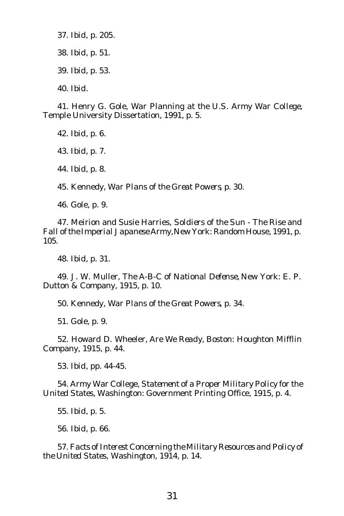37. *Ibid*, p. 205. 38. *Ibid*, p. 51. 39. *Ibid*, p. 53.

40. *Ibid*.

41. Henry G. Gole, *War Planning at the U.S. Army War College,* Temple University Dissertation, 1991, p. 5.

42. *Ibid*, p. 6.

43. *Ibid*, p. 7.

44. *Ibid*, p. 8.

45. Kennedy, *War Plans of the Great Powers*, p. 30.

46. Gole, p. 9.

47. Meirion and Susie Harries, *Soldiers of the Sun - The Rise and Fall of the Imperial Japanese Army,*New York: Random House, 1991, p. 105.

48. *Ibid*, p. 31.

49. J. W. Muller, *The A-B-C of National Defense,* New York: E. P. Dutton & Company, 1915, p. 10.

50. Kennedy, *War Plans of the Great Powers*, p. 34.

51. Gole, p. 9.

52. Howard D. Wheeler, *Are We Ready,* Boston: Houghton Mifflin Company, 1915, p. 44.

53. *Ibid*, pp. 44-45.

54. Army War College, *Statement of a Proper Military Policy for the United States,* Washington: Government Printing Office, 1915, p. 4.

55. *Ibid*, p. 5.

56. *Ibid*, p. 66.

57. *Facts of Interest Concerning the Military Resources and Policy of the United States,* Washington, 1914, p. 14.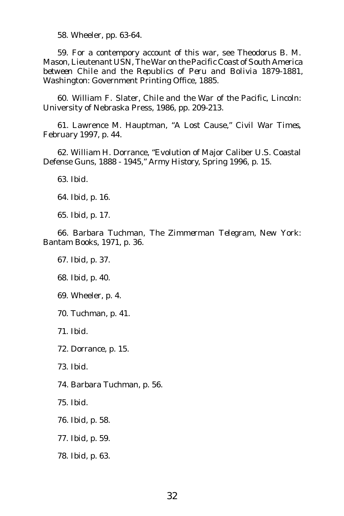58. Wheeler, pp. 63-64.

59. For a contempory account of this war, see Theodorus B. M. Mason, Lieutenant USN, *The War on the Pacific Coast of South America between Chile and the Republics of Peru and Bolivia 1879-1881,* Washington: Government Printing Office, 1885.

60. William F. Slater, *Chile and the War of the Pacific,* Lincoln: University of Nebraska Press, 1986, pp. 209-213.

61. Lawrence M. Hauptman, "A Lost Cause," *Civil War Times*, February 1997, p. 44.

62. William H. Dorrance, "Evolution of Major Caliber U.S. Coastal Defense Guns, 1888 - 1945," *Army History*, Spring 1996, p. 15.

63. *Ibid*.

64. *Ibid*, p. 16.

65. *Ibid*, p. 17.

66. Barbara Tuchman, *The Zimmerman Telegram,* New York: Bantam Books, 1971, p. 36.

67. *Ibid*, p. 37.

68. *Ibid*, p. 40.

69. Wheeler, p. 4.

70. Tuchman, p. 41.

71. *Ibid*.

72. Dorrance, p. 15.

73. *Ibid*.

74. Barbara Tuchman, p. 56.

75. *Ibid*.

76. *Ibid*, p. 58.

77. *Ibid*, p. 59.

78. *Ibid*, p. 63.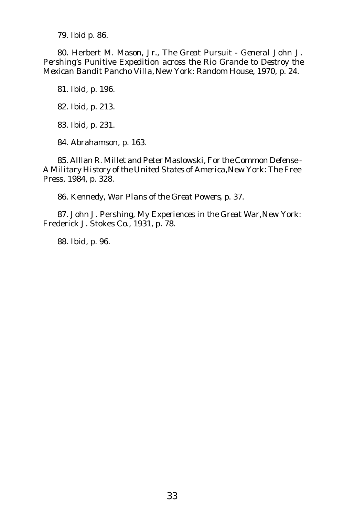79. *Ibid* p. 86.

80. Herbert M. Mason, Jr., *The Great Pursuit - General John J. Pershing's Punitive Expedition across the Rio Grande to Destroy the Mexican Bandit Pancho Villa,* New York: Random House, 1970, p. 24.

81. *Ibid*, p. 196.

82. *Ibid*, p. 213.

83. *Ibid*, p. 231.

84. Abrahamson, p. 163.

85. Alllan R. Millet and Peter Maslowski, *For the Common Defense - A Military History of the United States of America,*New York: The Free Press, 1984, p. 328.

86. Kennedy, *War Plans of the Great Powers*, p. 37.

87. John J. Pershing*, My Experiences in the Great War,* New York: Frederick J. Stokes Co., 1931, p. 78.

88. *Ibid*, p. 96.